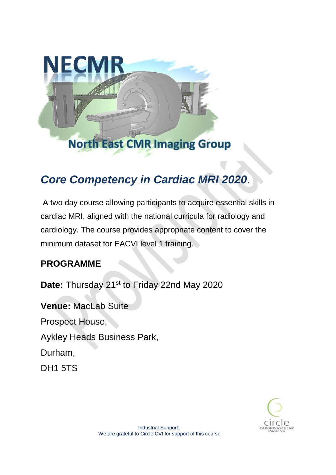

# *Core Competency in Cardiac MRI 2020***.**

A two day course allowing participants to acquire essential skills in cardiac MRI, aligned with the national curricula for radiology and cardiology. The course provides appropriate content to cover the minimum dataset for EACVI level 1 training.

#### **PROGRAMME**

Date: Thursday 21<sup>st</sup> to Friday 22nd May 2020

**Venue:** MacLab Suite Prospect House, Aykley Heads Business Park, Durham, DH1 5TS

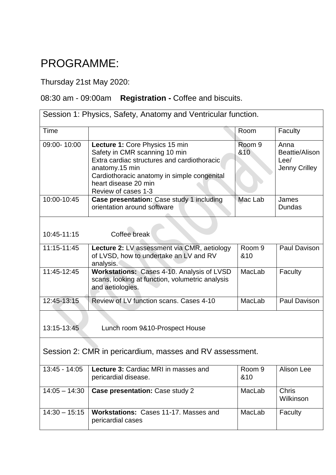## PROGRAMME:

Thursday 21st May 2020:

### 08:30 am - 09:00am **Registration -** Coffee and biscuits.

| Session 1: Physics, Safety, Anatomy and Ventricular function. |                                                                                                                                                                                                                                |                          |                                                 |  |  |
|---------------------------------------------------------------|--------------------------------------------------------------------------------------------------------------------------------------------------------------------------------------------------------------------------------|--------------------------|-------------------------------------------------|--|--|
| Time                                                          |                                                                                                                                                                                                                                | Room                     | Faculty                                         |  |  |
| 09:00-10:00                                                   | Lecture 1: Core Physics 15 min<br>Safety in CMR scanning 10 min<br>Extra cardiac structures and cardiothoracic<br>anatomy.15 min<br>Cardiothoracic anatomy in simple congenital<br>heart disease 20 min<br>Review of cases 1-3 | Room <sub>9</sub><br>&10 | Anna<br>Beattie/Alison<br>Lee/<br>Jenny Crilley |  |  |
| 10:00-10:45                                                   | Case presentation: Case study 1 including<br>orientation around software                                                                                                                                                       | Mac Lab                  | James<br>Dundas                                 |  |  |
| 10:45-11:15                                                   | Coffee break                                                                                                                                                                                                                   |                          |                                                 |  |  |
| 11:15-11:45                                                   | <b>Lecture 2: LV assessment via CMR, aetiology</b><br>of LVSD, how to undertake an LV and RV<br>analysis.                                                                                                                      | Room <sub>9</sub><br>&10 | Paul Davison                                    |  |  |
| 11:45-12:45                                                   | Workstations: Cases 4-10. Analysis of LVSD<br>scans, looking at function, volumetric analysis<br>and aetiologies.                                                                                                              | MacLab                   | Faculty                                         |  |  |
| 12:45-13:15                                                   | Review of LV function scans, Cases 4-10                                                                                                                                                                                        | MacLab                   | Paul Davison                                    |  |  |
| 13:15-13:45                                                   | Lunch room 9&10-Prospect House                                                                                                                                                                                                 |                          |                                                 |  |  |
| Session 2: CMR in pericardium, masses and RV assessment.      |                                                                                                                                                                                                                                |                          |                                                 |  |  |
| $13:45 - 14:05$                                               | Lecture 3: Cardiac MRI in masses and<br>pericardial disease.                                                                                                                                                                   | Room <sub>9</sub><br>&10 | Alison Lee                                      |  |  |
| $14:05 - 14:30$                                               | Case presentation: Case study 2                                                                                                                                                                                                | MacLab                   | <b>Chris</b><br>Wilkinson                       |  |  |
| $14:30 - 15:15$                                               | Workstations: Cases 11-17. Masses and<br>pericardial cases                                                                                                                                                                     | MacLab                   | Faculty                                         |  |  |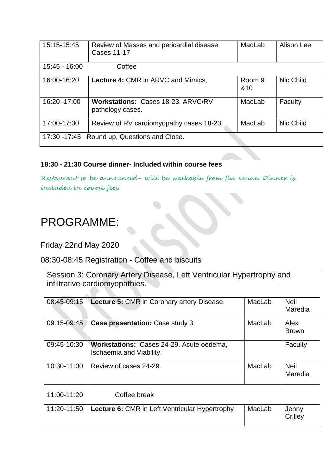| 15:15-15:45                                 | Review of Masses and pericardial disease.<br><b>Cases 11-17</b> | MacLab        | Alison Lee |  |
|---------------------------------------------|-----------------------------------------------------------------|---------------|------------|--|
| $15:45 - 16:00$                             | Coffee                                                          |               |            |  |
| 16:00-16:20                                 | <b>Lecture 4: CMR in ARVC and Mimics,</b>                       | Room 9<br>&10 | Nic Child  |  |
| 16:20-17:00                                 | Workstations: Cases 18-23. ARVC/RV<br>pathology cases.          | MacLab        | Faculty    |  |
| 17:00-17:30                                 | Review of RV cardiomyopathy cases 18-23.                        | MacLab        | Nic Child  |  |
| 17:30 -17:45 Round up, Questions and Close. |                                                                 |               |            |  |

#### **18:30 - 21:30 Course dinner- Included within course fees**

Restaurant to be announced- will be walkable from the venue. Dinner is included in course fees.

### PROGRAMME:

Friday 22nd May 2020

08:30-08:45 Registration - Coffee and biscuits

| Session 3: Coronary Artery Disease, Left Ventricular Hypertrophy and<br>infiltrative cardiomyopathies. |                                                                      |        |                        |  |  |
|--------------------------------------------------------------------------------------------------------|----------------------------------------------------------------------|--------|------------------------|--|--|
| 08:45-09:15                                                                                            | Lecture 5: CMR in Coronary artery Disease.                           | MacLab | <b>Neil</b><br>Maredia |  |  |
| 09:15-09:45                                                                                            | Case presentation: Case study 3                                      | MacLab | Alex<br><b>Brown</b>   |  |  |
| 09:45-10:30                                                                                            | Workstations: Cases 24-29. Acute oedema,<br>Ischaemia and Viability. |        | Faculty                |  |  |
| 10:30-11:00                                                                                            | Review of cases 24-29.                                               | MacLab | <b>Neil</b><br>Maredia |  |  |
| 11:00-11:20                                                                                            | Coffee break                                                         |        |                        |  |  |
| 11:20-11:50                                                                                            | <b>Lecture 6: CMR in Left Ventricular Hypertrophy</b>                | MacLab | Jenny<br>Crilley       |  |  |